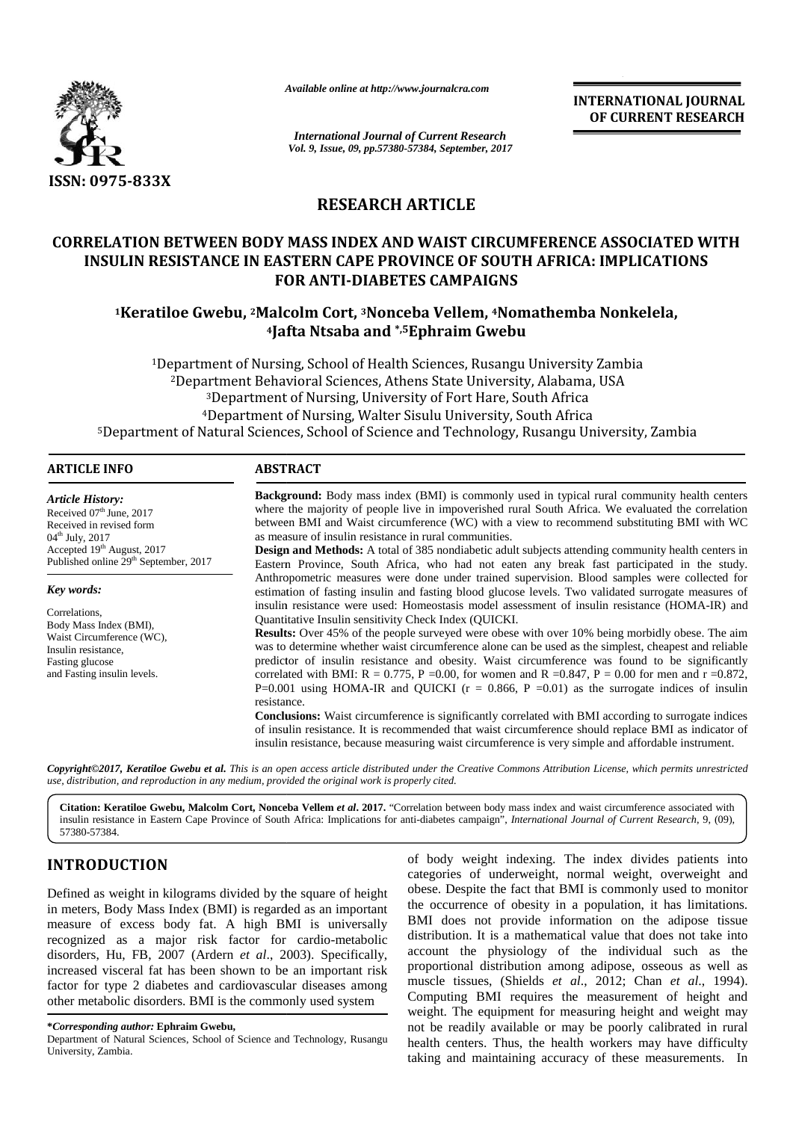

*Available online at http://www.journalcra.com*

# **RESEARCH ARTICLE**

# **CORRELATION BETWEEN BODY MASS INDEX AND WAIST CIRCUMFERENCE ASSOCIATED WITH INSULIN RESISTANCE IN EASTERN CAPE PROVINCE OF SOUTH AFRICA: IMPLICATIONS FOR ANTI-DIABETES CAMPAIGNS** TION BETWEEN BODY MASS INDEX AND WAIST CIRCUMFERENCE<br>LIN RESISTANCE IN EASTERN CAPE PROVINCE OF SOUTH AFRICA:<br>FOR ANTI-DIABETES CAMPAIGNS<br>Keratiloe Gwebu, <sup>2</sup>Malcolm Cort, <sup>3</sup>Nonceba Vellem, <sup>4</sup>Nomathemba

# **<sup>1</sup>Keratiloe Gwebu, <sup>2</sup>Malcolm Cort, <sup>3</sup>Nonceba Vellem, <sup>4</sup>Nomathemba Nonkelela, 4** FOR ANTI-DIABETES CAMPAIGNS<br>|alcolm Cort, 3Nonceba Vellem, 4Nomathemba<br>|afta Ntsaba and \*,5Ephraim Gwebu

|                                                                                                                                                                                                                                                                                                                                                                                                                                                                                                                                                                                                                                                               |                                                                                                                                                                                                                                                                                                                                                                                                                                                                                                                                                                                                                                                                                                                                                                                                                                                                                                                                                                                                                                                                                                                                                                                                                                                                                                                                                                                                                                                                                                                                                                                                                                                                                                                                                                                                                                                                                                                                                                       | <b>INTERNATIONAL JOURNAL</b><br>OF CURRENT RESEARCH                                                                                                                                                                                                                                                                                                                                                                                                                                                                                                                                                                                                                                                                                                                  |  |
|---------------------------------------------------------------------------------------------------------------------------------------------------------------------------------------------------------------------------------------------------------------------------------------------------------------------------------------------------------------------------------------------------------------------------------------------------------------------------------------------------------------------------------------------------------------------------------------------------------------------------------------------------------------|-----------------------------------------------------------------------------------------------------------------------------------------------------------------------------------------------------------------------------------------------------------------------------------------------------------------------------------------------------------------------------------------------------------------------------------------------------------------------------------------------------------------------------------------------------------------------------------------------------------------------------------------------------------------------------------------------------------------------------------------------------------------------------------------------------------------------------------------------------------------------------------------------------------------------------------------------------------------------------------------------------------------------------------------------------------------------------------------------------------------------------------------------------------------------------------------------------------------------------------------------------------------------------------------------------------------------------------------------------------------------------------------------------------------------------------------------------------------------------------------------------------------------------------------------------------------------------------------------------------------------------------------------------------------------------------------------------------------------------------------------------------------------------------------------------------------------------------------------------------------------------------------------------------------------------------------------------------------------|----------------------------------------------------------------------------------------------------------------------------------------------------------------------------------------------------------------------------------------------------------------------------------------------------------------------------------------------------------------------------------------------------------------------------------------------------------------------------------------------------------------------------------------------------------------------------------------------------------------------------------------------------------------------------------------------------------------------------------------------------------------------|--|
|                                                                                                                                                                                                                                                                                                                                                                                                                                                                                                                                                                                                                                                               |                                                                                                                                                                                                                                                                                                                                                                                                                                                                                                                                                                                                                                                                                                                                                                                                                                                                                                                                                                                                                                                                                                                                                                                                                                                                                                                                                                                                                                                                                                                                                                                                                                                                                                                                                                                                                                                                                                                                                                       | <b>International Journal of Current Research</b><br>Vol. 9, Issue, 09, pp.57380-57384, September, 2017                                                                                                                                                                                                                                                                                                                                                                                                                                                                                                                                                                                                                                                               |  |
| <b>ISSN: 0975-833X</b>                                                                                                                                                                                                                                                                                                                                                                                                                                                                                                                                                                                                                                        |                                                                                                                                                                                                                                                                                                                                                                                                                                                                                                                                                                                                                                                                                                                                                                                                                                                                                                                                                                                                                                                                                                                                                                                                                                                                                                                                                                                                                                                                                                                                                                                                                                                                                                                                                                                                                                                                                                                                                                       |                                                                                                                                                                                                                                                                                                                                                                                                                                                                                                                                                                                                                                                                                                                                                                      |  |
|                                                                                                                                                                                                                                                                                                                                                                                                                                                                                                                                                                                                                                                               | <b>RESEARCH ARTICLE</b>                                                                                                                                                                                                                                                                                                                                                                                                                                                                                                                                                                                                                                                                                                                                                                                                                                                                                                                                                                                                                                                                                                                                                                                                                                                                                                                                                                                                                                                                                                                                                                                                                                                                                                                                                                                                                                                                                                                                               |                                                                                                                                                                                                                                                                                                                                                                                                                                                                                                                                                                                                                                                                                                                                                                      |  |
|                                                                                                                                                                                                                                                                                                                                                                                                                                                                                                                                                                                                                                                               |                                                                                                                                                                                                                                                                                                                                                                                                                                                                                                                                                                                                                                                                                                                                                                                                                                                                                                                                                                                                                                                                                                                                                                                                                                                                                                                                                                                                                                                                                                                                                                                                                                                                                                                                                                                                                                                                                                                                                                       |                                                                                                                                                                                                                                                                                                                                                                                                                                                                                                                                                                                                                                                                                                                                                                      |  |
|                                                                                                                                                                                                                                                                                                                                                                                                                                                                                                                                                                                                                                                               | <b>FOR ANTI-DIABETES CAMPAIGNS</b>                                                                                                                                                                                                                                                                                                                                                                                                                                                                                                                                                                                                                                                                                                                                                                                                                                                                                                                                                                                                                                                                                                                                                                                                                                                                                                                                                                                                                                                                                                                                                                                                                                                                                                                                                                                                                                                                                                                                    | <b>CORRELATION BETWEEN BODY MASS INDEX AND WAIST CIRCUMFERENCE ASSOCIATED WITH</b><br><b>INSULIN RESISTANCE IN EASTERN CAPE PROVINCE OF SOUTH AFRICA: IMPLICATIONS</b>                                                                                                                                                                                                                                                                                                                                                                                                                                                                                                                                                                                               |  |
|                                                                                                                                                                                                                                                                                                                                                                                                                                                                                                                                                                                                                                                               | <sup>4</sup> Jafta Ntsaba and *,5Ephraim Gwebu                                                                                                                                                                                                                                                                                                                                                                                                                                                                                                                                                                                                                                                                                                                                                                                                                                                                                                                                                                                                                                                                                                                                                                                                                                                                                                                                                                                                                                                                                                                                                                                                                                                                                                                                                                                                                                                                                                                        | <sup>1</sup> Keratiloe Gwebu, <sup>2</sup> Malcolm Cort, <sup>3</sup> Nonceba Vellem, <sup>4</sup> Nomathemba Nonkelela,                                                                                                                                                                                                                                                                                                                                                                                                                                                                                                                                                                                                                                             |  |
|                                                                                                                                                                                                                                                                                                                                                                                                                                                                                                                                                                                                                                                               |                                                                                                                                                                                                                                                                                                                                                                                                                                                                                                                                                                                                                                                                                                                                                                                                                                                                                                                                                                                                                                                                                                                                                                                                                                                                                                                                                                                                                                                                                                                                                                                                                                                                                                                                                                                                                                                                                                                                                                       | <sup>1</sup> Department of Nursing, School of Health Sciences, Rusangu University Zambia<br><sup>2</sup> Department Behavioral Sciences, Athens State University, Alabama, USA<br><sup>3</sup> Department of Nursing, University of Fort Hare, South Africa                                                                                                                                                                                                                                                                                                                                                                                                                                                                                                          |  |
|                                                                                                                                                                                                                                                                                                                                                                                                                                                                                                                                                                                                                                                               |                                                                                                                                                                                                                                                                                                                                                                                                                                                                                                                                                                                                                                                                                                                                                                                                                                                                                                                                                                                                                                                                                                                                                                                                                                                                                                                                                                                                                                                                                                                                                                                                                                                                                                                                                                                                                                                                                                                                                                       | <sup>4</sup> Department of Nursing, Walter Sisulu University, South Africa                                                                                                                                                                                                                                                                                                                                                                                                                                                                                                                                                                                                                                                                                           |  |
|                                                                                                                                                                                                                                                                                                                                                                                                                                                                                                                                                                                                                                                               |                                                                                                                                                                                                                                                                                                                                                                                                                                                                                                                                                                                                                                                                                                                                                                                                                                                                                                                                                                                                                                                                                                                                                                                                                                                                                                                                                                                                                                                                                                                                                                                                                                                                                                                                                                                                                                                                                                                                                                       | <sup>5</sup> Department of Natural Sciences, School of Science and Technology, Rusangu University, Zambia                                                                                                                                                                                                                                                                                                                                                                                                                                                                                                                                                                                                                                                            |  |
| <b>ARTICLE INFO</b>                                                                                                                                                                                                                                                                                                                                                                                                                                                                                                                                                                                                                                           | <b>ABSTRACT</b>                                                                                                                                                                                                                                                                                                                                                                                                                                                                                                                                                                                                                                                                                                                                                                                                                                                                                                                                                                                                                                                                                                                                                                                                                                                                                                                                                                                                                                                                                                                                                                                                                                                                                                                                                                                                                                                                                                                                                       |                                                                                                                                                                                                                                                                                                                                                                                                                                                                                                                                                                                                                                                                                                                                                                      |  |
| <b>Article History:</b><br>Received 07th June, 2017<br>Received in revised form<br>04 <sup>th</sup> July, 2017<br>Accepted 19th August, 2017<br>Published online 29 <sup>th</sup> September, 2017<br>Key words:<br>Correlations,<br>Body Mass Index (BMI),<br>Waist Circumference (WC),<br>Insulin resistance,<br>Fasting glucose<br>and Fasting insulin levels.                                                                                                                                                                                                                                                                                              | Background: Body mass index (BMI) is commonly used in typical rural community health centers<br>where the majority of people live in impoverished rural South Africa. We evaluated the correlation<br>between BMI and Waist circumference (WC) with a view to recommend substituting BMI with WC<br>as measure of insulin resistance in rural communities.<br>Design and Methods: A total of 385 nondiabetic adult subjects attending community health centers in<br>Eastern Province, South Africa, who had not eaten any break fast participated in the study.<br>Anthropometric measures were done under trained supervision. Blood samples were collected for<br>estimation of fasting insulin and fasting blood glucose levels. Two validated surrogate measures of<br>insulin resistance were used: Homeostasis model assessment of insulin resistance (HOMA-IR) and<br>Quantitative Insulin sensitivity Check Index (QUICKI.<br>Results: Over 45% of the people surveyed were obese with over 10% being morbidly obese. The aim<br>was to determine whether waist circumference alone can be used as the simplest, cheapest and reliable<br>predictor of insulin resistance and obesity. Waist circumference was found to be significantly<br>correlated with BMI: R = 0.775, P = 0.00, for women and R = 0.847, P = 0.00 for men and r = 0.872,<br>P=0.001 using HOMA-IR and QUICKI ( $r = 0.866$ , P =0.01) as the surrogate indices of insulin<br>resistance.<br><b>Conclusions:</b> Waist circumference is significantly correlated with BMI according to surrogate indices<br>of insulin resistance. It is recommended that waist circumference should replace BMI as indicator of<br>insulin resistance, because measuring waist circumference is very simple and affordable instrument.<br>Copyright©2017, Keratiloe Gwebu et al. This is an open access article distributed under the Creative Commons Attribution License, which permits unrestricted |                                                                                                                                                                                                                                                                                                                                                                                                                                                                                                                                                                                                                                                                                                                                                                      |  |
| use, distribution, and reproduction in any medium, provided the original work is properly cited.                                                                                                                                                                                                                                                                                                                                                                                                                                                                                                                                                              |                                                                                                                                                                                                                                                                                                                                                                                                                                                                                                                                                                                                                                                                                                                                                                                                                                                                                                                                                                                                                                                                                                                                                                                                                                                                                                                                                                                                                                                                                                                                                                                                                                                                                                                                                                                                                                                                                                                                                                       |                                                                                                                                                                                                                                                                                                                                                                                                                                                                                                                                                                                                                                                                                                                                                                      |  |
| 57380-57384.                                                                                                                                                                                                                                                                                                                                                                                                                                                                                                                                                                                                                                                  |                                                                                                                                                                                                                                                                                                                                                                                                                                                                                                                                                                                                                                                                                                                                                                                                                                                                                                                                                                                                                                                                                                                                                                                                                                                                                                                                                                                                                                                                                                                                                                                                                                                                                                                                                                                                                                                                                                                                                                       | Citation: Keratiloe Gwebu, Malcolm Cort, Nonceba Vellem et al. 2017. "Correlation between body mass index and waist circumference associated with<br>insulin resistance in Eastern Cape Province of South Africa: Implications for anti-diabetes campaign", International Journal of Current Research, 9, (09),                                                                                                                                                                                                                                                                                                                                                                                                                                                      |  |
| <b>INTRODUCTION</b>                                                                                                                                                                                                                                                                                                                                                                                                                                                                                                                                                                                                                                           |                                                                                                                                                                                                                                                                                                                                                                                                                                                                                                                                                                                                                                                                                                                                                                                                                                                                                                                                                                                                                                                                                                                                                                                                                                                                                                                                                                                                                                                                                                                                                                                                                                                                                                                                                                                                                                                                                                                                                                       | of body weight indexing. The index divides patients into<br>categories of underweight, normal weight, overweight and                                                                                                                                                                                                                                                                                                                                                                                                                                                                                                                                                                                                                                                 |  |
| Defined as weight in kilograms divided by the square of height<br>in meters, Body Mass Index (BMI) is regarded as an important<br>measure of excess body fat. A high BMI is universally<br>recognized as a major risk factor for cardio-metabolic<br>disorders, Hu, FB, 2007 (Ardern et al., 2003). Specifically,<br>increased visceral fat has been shown to be an important risk<br>factor for type 2 diabetes and cardiovascular diseases among<br>other metabolic disorders. BMI is the commonly used system<br>*Corresponding author: Ephraim Gwebu,<br>Department of Natural Sciences, School of Science and Technology, Rusangu<br>University, Zambia. |                                                                                                                                                                                                                                                                                                                                                                                                                                                                                                                                                                                                                                                                                                                                                                                                                                                                                                                                                                                                                                                                                                                                                                                                                                                                                                                                                                                                                                                                                                                                                                                                                                                                                                                                                                                                                                                                                                                                                                       | obese. Despite the fact that BMI is commonly used to monitor<br>the occurrence of obesity in a population, it has limitations.<br>BMI does not provide information on the adipose tissue<br>distribution. It is a mathematical value that does not take into<br>account the physiology of the individual such as the<br>proportional distribution among adipose, osseous as well as<br>muscle tissues, (Shields et al., 2012; Chan et al., 1994).<br>Computing BMI requires the measurement of height and<br>weight. The equipment for measuring height and weight may<br>not be readily available or may be poorly calibrated in rural<br>health centers. Thus, the health workers may have difficulty<br>taking and maintaining accuracy of these measurements. In |  |

# **INTRODUCTION INTRODUCTION**

**<sup>\*</sup>***Corresponding author:* **Ephraim Gwebu, \****Corresponding* 

Department of Natural Sciences, School of Science and Technology, Rusangu head<br>University, Zambia. University, Zambia.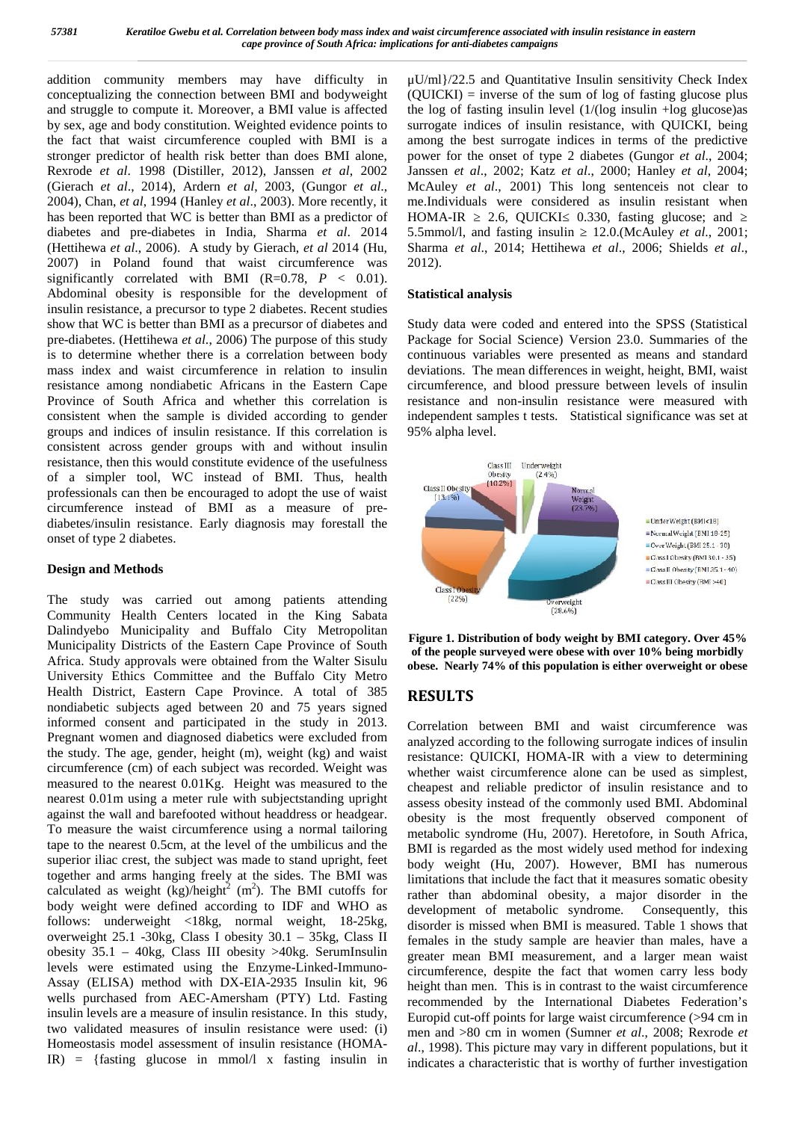addition community members may have difficulty in conceptualizing the connection between BMI and bodyweight and struggle to compute it. Moreover, a BMI value is affected by sex, age and body constitution. Weighted evidence points to the fact that waist circumference coupled with BMI is a stronger predictor of health risk better than does BMI alone, Rexrode *et al*. 1998 (Distiller, 2012), Janssen *et al*, 2002 (Gierach *et al*., 2014), Ardern *et al*, 2003, (Gungor *et al*., 2004), Chan, *et al*, 1994 (Hanley *et al*., 2003). More recently, it has been reported that WC is better than BMI as a predictor of HOMA-IR diabetes and pre-diabetes in India, Sharma *et al*. 2014 (Hettihewa *et al*., 2006). A study by Gierach, *et al* 2014 (Hu, 2007) in Poland found that waist circumference was significantly correlated with BMI (R=0.78,  $P < 0.01$ ). Abdominal obesity is responsible for the development of insulin resistance, a precursor to type 2 diabetes. Recent studies show that WC is better than BMI as a precursor of diabetes and pre-diabetes. (Hettihewa *et al*., 2006) The purpose of this study is to determine whether there is a correlation between body mass index and waist circumference in relation to insulin resistance among nondiabetic Africans in the Eastern Cape Province of South Africa and whether this correlation is consistent when the sample is divided according to gender groups and indices of insulin resistance. If this correlation is consistent across gender groups with and without insulin resistance, then this would constitute evidence of the usefulness of a simpler tool, WC instead of BMI. Thus, health professionals can then be encouraged to adopt the use of waist circumference instead of BMI as a measure of pre diabetes/insulin resistance. Early diagnosis may forestall the onset of type 2 diabetes.

#### **Design and Methods**

The study was carried out among patients attending Community Health Centers located in the King Sabata Dalindyebo Municipality and Buffalo City Metropolitan Municipality Districts of the Eastern Cape Province of South Africa. Study approvals were obtained from the Walter Sisulu University Ethics Committee and the Buffalo City Metro Health District, Eastern Cape Province. A total of 385 nondiabetic subjects aged between 20 and 75 years signed informed consent and participated in the study in 2013. Pregnant women and diagnosed diabetics were excluded from the study. The age, gender, height (m), weight (kg) and waist circumference (cm) of each subject was recorded. Weight was measured to the nearest 0.01Kg. Height was measured to the nearest 0.01m using a meter rule with subjectstanding upright against the wall and barefooted without headdress or headgear. To measure the waist circumference using a normal tailoring tape to the nearest 0.5cm, at the level of the umbilicus and the superior iliac crest, the subject was made to stand upright, feet together and arms hanging freely at the sides. The BMI was calculated as weight  $(kg)/height^2$  (m<sup>2</sup>). The BMI cutoffs for body weight were defined according to IDF and WHO as follows: underweight <18kg, normal weight, 18-25kg, overweight 25.1 -30kg, Class I obesity 30.1 – 35kg, Class II obesity 35.1 – 40kg, Class III obesity >40kg. SerumInsulin levels were estimated using the Enzyme-Linked-Immuno- Assay (ELISA) method with DX-EIA-2935 Insulin kit, 96 wells purchased from AEC-Amersham (PTY) Ltd. Fasting insulin levels are a measure of insulin resistance. In this study, two validated measures of insulin resistance were used: (i) Homeostasis model assessment of insulin resistance (HOMA-IR) = {fasting glucose in mmol/l x fasting insulin in

μU/ml}/22.5 and Quantitative Insulin sensitivity Check Index (QUICKI) = inverse of the sum of log of fasting glucose plus the log of fasting insulin level (1/(log insulin +log glucose)as surrogate indices of insulin resistance, with QUICKI, being among the best surrogate indices in terms of the predictive power for the onset of type 2 diabetes (Gungor *et al*., 2004; Janssen *et al*., 2002; Katz *et al*., 2000; Hanley *et al*, 2004; McAuley *et al*., 2001) This long sentenceis not clear to me.Individuals were considered as insulin resistant when 2.6, QUICKI 0.330, fasting glucose; and 5.5mmol/l, and fasting insulin ≥ 12.0.(McAuley *et al*., 2001; Sharma *et al*., 2014; Hettihewa *et al*., 2006; Shields *et al*., 2012).

#### **Statistical analysis**

Study data were coded and entered into the SPSS (Statistical Package for Social Science) Version 23.0. Summaries of the continuous variables were presented as means and standard deviations. The mean differences in weight, height, BMI, waist circumference, and blood pressure between levels of insulin resistance and non-insulin resistance were measured with independent samples t tests. Statistical significance was set at 95% alpha level.





# **RESULTS**

Correlation between BMI and waist circumference was analyzed according to the following surrogate indices of insulin resistance: QUICKI, HOMA-IR with a view to determining whether waist circumference alone can be used as simplest, cheapest and reliable predictor of insulin resistance and to assess obesity instead of the commonly used BMI. Abdominal obesity is the most frequently observed component of metabolic syndrome (Hu, 2007). Heretofore, in South Africa, BMI is regarded as the most widely used method for indexing body weight (Hu, 2007). However, BMI has numerous limitations that include the fact that it measures somatic obesity rather than abdominal obesity, a major disorder in the development of metabolic syndrome. Consequently, this disorder is missed when BMI is measured. Table 1 shows that females in the study sample are heavier than males, have a greater mean BMI measurement, and a larger mean waist circumference, despite the fact that women carry less body height than men. This is in contrast to the waist circumference recommended by the International Diabetes Federation's Europid cut-off points for large waist circumference (>94 cm in men and >80 cm in women (Sumner *et al*., 2008; Rexrode *et al*., 1998). This picture may vary in different populations, but it indicates a characteristic that is worthy of further investigation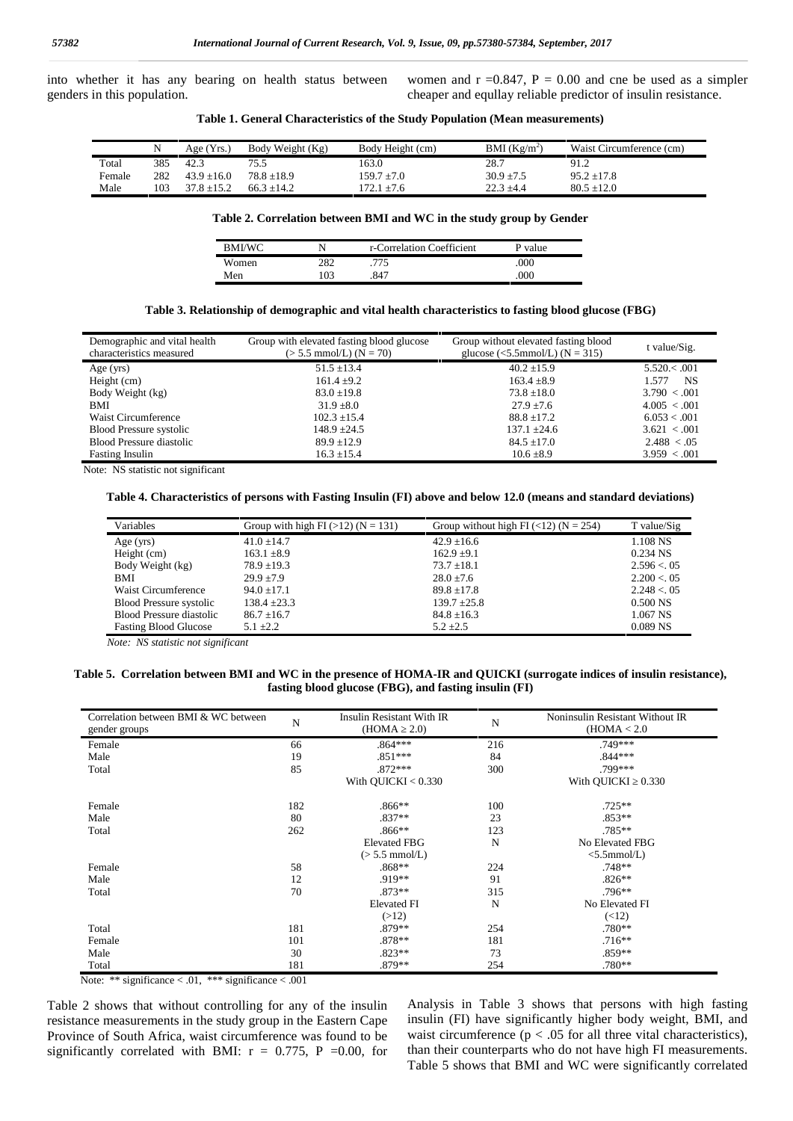into whether it has any bearing on health status between genders in this population.

women and  $r = 0.847$ ,  $P = 0.00$  and cne be used as a simpler cheaper and equllay reliable predictor of insulin resistance.

|  |  |  |  |  |  | Table 1. General Characteristics of the Study Population (Mean measurements) |  |
|--|--|--|--|--|--|------------------------------------------------------------------------------|--|
|--|--|--|--|--|--|------------------------------------------------------------------------------|--|

|        |     | Aee(Yrs)        | Body Weight (Kg) | Body Height (cm) | BMI $(Kg/m^2)$ | Waist Circumference (cm) |
|--------|-----|-----------------|------------------|------------------|----------------|--------------------------|
| Total  | 385 | 42.3            | 75.5             | 163.0            | 28.7           | 91.2                     |
| Female | 282 | $43.9 \pm 16.0$ | $78.8 + 18.9$    | $159.7 \pm 7.0$  | $30.9 \pm 7.5$ | $95.2 \pm 17.8$          |
| Male   | 103 | $37.8 \pm 15.2$ | $66.3 + 14.2$    | $72.1 \pm 7.6$   | $22.3 \pm 4.4$ | $80.5 \pm 12.0$          |

#### **Table 2. Correlation between BMI and WC in the study group by Gender**

| BMI/WC |     | r-Correlation Coefficient | P value |
|--------|-----|---------------------------|---------|
| Women  | 282 | 775                       | .000    |
| Men    | 03  | .847                      | .000    |

#### **Table 3. Relationship of demographic and vital health characteristics to fasting blood glucose (FBG)**

| Demographic and vital health<br>characteristics measured | Group with elevated fasting blood glucose<br>$(> 5.5$ mmol/L) (N = 70) | Group without elevated fasting blood<br>glucose (<5.5mmol/L) ( $N = 315$ ) | t value/Sig.         |
|----------------------------------------------------------|------------------------------------------------------------------------|----------------------------------------------------------------------------|----------------------|
| Age $(yrs)$                                              | $51.5 \pm 13.4$                                                        | $40.2 + 15.9$                                                              | $5.520 \times 0.001$ |
| Height (cm)                                              | $161.4 \pm 9.2$                                                        | $163.4 \pm 8.9$                                                            | NS<br>1.577          |
| Body Weight (kg)                                         | $83.0 \pm 19.8$                                                        | $73.8 \pm 18.0$                                                            | $3.790 \leq 0.001$   |
| BMI                                                      | $31.9 + 8.0$                                                           | $27.9 + 7.6$                                                               | 4.005 < .001         |
| Waist Circumference                                      | $102.3 \pm 15.4$                                                       | $88.8 \pm 17.2$                                                            | 6.053 < .001         |
| <b>Blood Pressure systolic</b>                           | $148.9 + 24.5$                                                         | $137.1 \pm 24.6$                                                           | $3.621 \le 0.001$    |
| Blood Pressure diastolic                                 | $89.9 \pm 12.9$                                                        | $84.5 \pm 17.0$                                                            | 2.488 < 0.05         |
| <b>Fasting Insulin</b>                                   | $16.3 \pm 15.4$                                                        | $10.6 \pm 8.9$                                                             | 3.959 < 0.001        |

Note: NS statistic not significant

#### **Table 4. Characteristics of persons with Fasting Insulin (FI) above and below 12.0 (means and standard deviations)**

| Variables                    | Group with high FI $(>12)$ (N = 131) | Group without high FI $(<12)$ (N = 254) | T value/Sig  |
|------------------------------|--------------------------------------|-----------------------------------------|--------------|
| Age $(yrs)$                  | $41.0 \pm 14.7$                      | $42.9 \pm 16.6$                         | 1.108 NS     |
| Height (cm)                  | $163.1 \pm 8.9$                      | $162.9 \pm 9.1$                         | $0.234$ NS   |
| Body Weight (kg)             | $78.9 \pm 19.3$                      | $73.7 \pm 18.1$                         | 2.596 < 0.05 |
| <b>BMI</b>                   | $29.9 + 7.9$                         | $28.0 \pm 7.6$                          | 2.200 < 0.05 |
| Waist Circumference          | $94.0 \pm 17.1$                      | $89.8 \pm 17.8$                         | 2.248 < 0.05 |
| Blood Pressure systolic      | $138.4 \pm 23.3$                     | $139.7 \pm 25.8$                        | $0.500$ NS   |
| Blood Pressure diastolic     | $86.7 \pm 16.7$                      | $84.8 \pm 16.3$                         | 1.067 NS     |
| <b>Fasting Blood Glucose</b> | $5.1 \pm 2.2$                        | $5.2 \pm 2.5$                           | $0.089$ NS   |

*Note: NS statistic not significant*

#### **Table 5. Correlation between BMI and WC in the presence of HOMA-IR and QUICKI (surrogate indices of insulin resistance), fasting blood glucose (FBG), and fasting insulin (FI)**

| Correlation between BMI & WC between<br>gender groups | N   | Insulin Resistant With IR<br>(HOMA 2.0) | N   | Noninsulin Resistant Without IR<br>(HOMA < 2.0 |
|-------------------------------------------------------|-----|-----------------------------------------|-----|------------------------------------------------|
| Female                                                | 66  | $.864***$                               | 216 | .749***                                        |
| Male                                                  | 19  | $.851***$                               | 84  | $.844***$                                      |
| Total                                                 | 85  | $.872***$                               | 300 | .799***                                        |
|                                                       |     | With $OUICKI < 0.330$                   |     | With OUICKI 0.330                              |
| Female                                                | 182 | $.866**$                                | 100 | $.725**$                                       |
| Male                                                  | 80  | $.837**$                                | 23  | $.853**$                                       |
| Total                                                 | 262 | $.866**$                                | 123 | $.785**$                                       |
|                                                       |     | <b>Elevated FBG</b>                     | N   | No Elevated FBG                                |
|                                                       |     | $(> 5.5$ mmol/L)                        |     | $<$ 5.5mmol/L)                                 |
| Female                                                | 58  | $.868**$                                | 224 | .748**                                         |
| Male                                                  | 12  | $.919**$                                | 91  | $.826**$                                       |
| Total                                                 | 70  | $.873**$                                | 315 | $.796**$                                       |
|                                                       |     | <b>Elevated FI</b>                      | N   | No Elevated FI                                 |
|                                                       |     | (>12)                                   |     | (<12)                                          |
| Total                                                 | 181 | .879**                                  | 254 | .780**                                         |
| Female                                                | 101 | $.878**$                                | 181 | $.716**$                                       |
| Male                                                  | 30  | $.823**$                                | 73  | .859**                                         |
| Total                                                 | 181 | .879**                                  | 254 | .780**                                         |

Note: \*\* significance < .01, \*\*\* significance < .001

Table 2 shows that without controlling for any of the insulin resistance measurements in the study group in the Eastern Cape Province of South Africa, waist circumference was found to be significantly correlated with BMI:  $r = 0.775$ , P = 0.00, for Analysis in Table 3 shows that persons with high fasting insulin (FI) have significantly higher body weight, BMI, and waist circumference ( $p < .05$  for all three vital characteristics), than their counterparts who do not have high FI measurements. Table 5 shows that BMI and WC were significantly correlated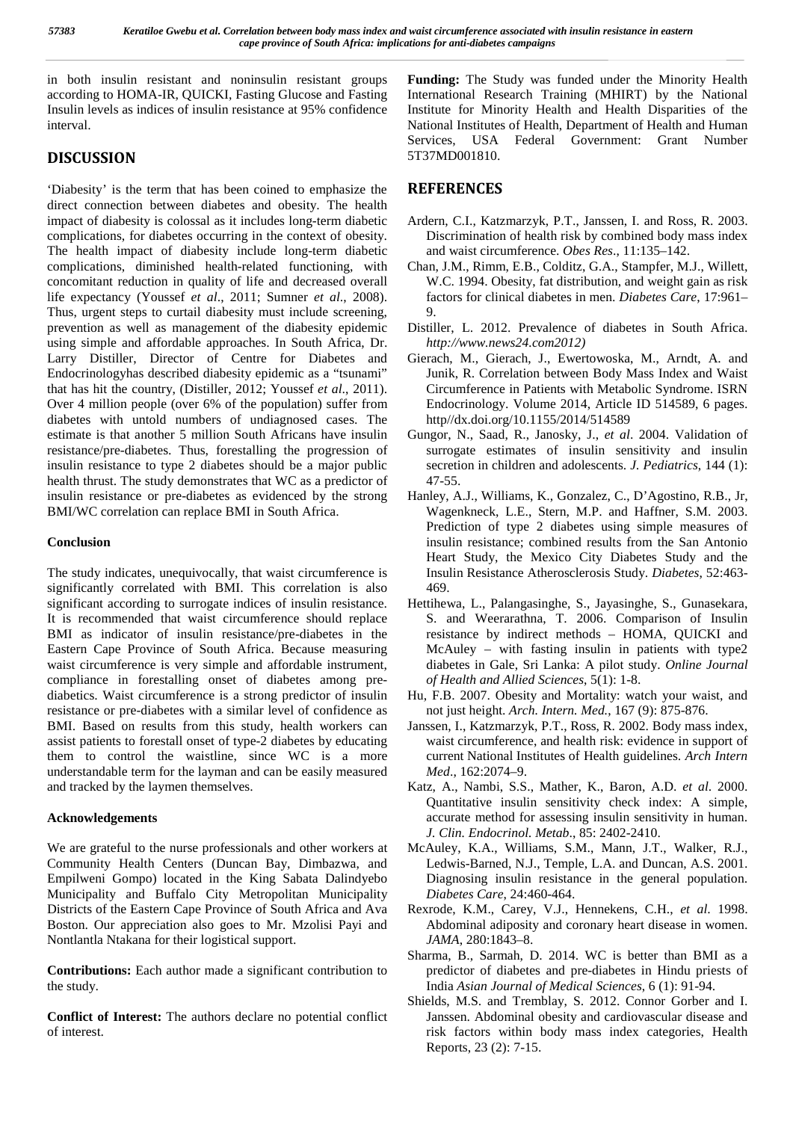in both insulin resistant and noninsulin resistant groups according to HOMA-IR, QUICKI, Fasting Glucose and Fasting Insulin levels as indices of insulin resistance at 95% confidence interval.

## **DISCUSSION**

'Diabesity' is the term that has been coined to emphasize the direct connection between diabetes and obesity. The health impact of diabesity is colossal as it includes long-term diabetic complications, for diabetes occurring in the context of obesity. The health impact of diabesity include long-term diabetic complications, diminished health-related functioning, with concomitant reduction in quality of life and decreased overall life expectancy (Youssef *et al*., 2011; Sumner *et al*., 2008). Thus, urgent steps to curtail diabesity must include screening, prevention as well as management of the diabesity epidemic using simple and affordable approaches. In South Africa, Dr. Larry Distiller, Director of Centre for Diabetes and Endocrinologyhas described diabesity epidemic as a "tsunami" that has hit the country, (Distiller, 2012; Youssef *et al*., 2011). Over 4 million people (over 6% of the population) suffer from diabetes with untold numbers of undiagnosed cases. The estimate is that another 5 million South Africans have insulin resistance/pre-diabetes. Thus, forestalling the progression of insulin resistance to type 2 diabetes should be a major public health thrust. The study demonstrates that WC as a predictor of insulin resistance or pre-diabetes as evidenced by the strong BMI/WC correlation can replace BMI in South Africa.

#### **Conclusion**

The study indicates, unequivocally, that waist circumference is significantly correlated with BMI. This correlation is also significant according to surrogate indices of insulin resistance. It is recommended that waist circumference should replace BMI as indicator of insulin resistance/pre-diabetes in the Eastern Cape Province of South Africa. Because measuring waist circumference is very simple and affordable instrument, compliance in forestalling onset of diabetes among pre diabetics. Waist circumference is a strong predictor of insulin resistance or pre-diabetes with a similar level of confidence as BMI. Based on results from this study, health workers can assist patients to forestall onset of type-2 diabetes by educating them to control the waistline, since WC is a more understandable term for the layman and can be easily measured and tracked by the laymen themselves.

### **Acknowledgements**

We are grateful to the nurse professionals and other workers at Community Health Centers (Duncan Bay, Dimbazwa, and Empilweni Gompo) located in the King Sabata Dalindyebo Municipality and Buffalo City Metropolitan Municipality Districts of the Eastern Cape Province of South Africa and Ava Boston. Our appreciation also goes to Mr. Mzolisi Payi and Nontlantla Ntakana for their logistical support.

**Contributions:** Each author made a significant contribution to the study.

**Conflict of Interest:** The authors declare no potential conflict of interest.

**Funding:** The Study was funded under the Minority Health International Research Training (MHIRT) by the National Institute for Minority Health and Health Disparities of the National Institutes of Health, Department of Health and Human Services, USA Federal Government: Grant Number 5T37MD001810.

# **REFERENCES**

- Ardern, C.I., Katzmarzyk, P.T., Janssen, I. and Ross, R. 2003. Discrimination of health risk by combined body mass index and waist circumference. *Obes Res*., 11:135–142.
- Chan, J.M., Rimm, E.B., Colditz, G.A., Stampfer, M.J., Willett, W.C. 1994. Obesity, fat distribution, and weight gain as risk factors for clinical diabetes in men. *Diabetes Care*, 17:961– 9.
- Distiller, L. 2012. Prevalence of diabetes in South Africa. *http://www.news24.com2012)*
- Gierach, M., Gierach, J., Ewertowoska, M., Arndt, A. and Junik, R. Correlation between Body Mass Index and Waist Circumference in Patients with Metabolic Syndrome. ISRN Endocrinology. Volume 2014, Article ID 514589, 6 pages. http//dx.doi.org/10.1155/2014/514589
- Gungor, N., Saad, R., Janosky, J., *et al*. 2004. Validation of surrogate estimates of insulin sensitivity and insulin secretion in children and adolescents. *J. Pediatrics*, 144 (1): 47-55.
- Hanley, A.J., Williams, K., Gonzalez, C., D'Agostino, R.B., Jr, Wagenkneck, L.E., Stern, M.P. and Haffner, S.M. 2003. Prediction of type 2 diabetes using simple measures of insulin resistance; combined results from the San Antonio Heart Study, the Mexico City Diabetes Study and the Insulin Resistance Atherosclerosis Study. *Diabetes*, 52:463- 469.
- Hettihewa, L., Palangasinghe, S., Jayasinghe, S., Gunasekara, S. and Weerarathna, T. 2006. Comparison of Insulin resistance by indirect methods – HOMA, QUICKI and McAuley – with fasting insulin in patients with type2 diabetes in Gale, Sri Lanka: A pilot study. *Online Journal of Health and Allied Sciences*, 5(1): 1-8.
- Hu, F.B. 2007. Obesity and Mortality: watch your waist, and not just height. *Arch. Intern. Med.*, 167 (9): 875-876.
- Janssen, I., Katzmarzyk, P.T., Ross, R. 2002. Body mass index, waist circumference, and health risk: evidence in support of current National Institutes of Health guidelines. *Arch Intern Med*., 162:2074–9.
- Katz, A., Nambi, S.S., Mather, K., Baron, A.D. *et al*. 2000. Quantitative insulin sensitivity check index: A simple, accurate method for assessing insulin sensitivity in human. *J. Clin. Endocrinol. Metab*., 85: 2402-2410.
- McAuley, K.A., Williams, S.M., Mann, J.T., Walker, R.J., Ledwis-Barned, N.J., Temple, L.A. and Duncan, A.S. 2001. Diagnosing insulin resistance in the general population. *Diabetes Care*, 24:460-464.
- Rexrode, K.M., Carey, V.J., Hennekens, C.H., *et al*. 1998. Abdominal adiposity and coronary heart disease in women. *JAMA*, 280:1843–8.
- Sharma, B., Sarmah, D. 2014. WC is better than BMI as a predictor of diabetes and pre-diabetes in Hindu priests of India *Asian Journal of Medical Sciences*, 6 (1): 91-94.
- Shields, M.S. and Tremblay, S. 2012. Connor Gorber and I. Janssen. Abdominal obesity and cardiovascular disease and risk factors within body mass index categories, Health Reports, 23 (2): 7-15.